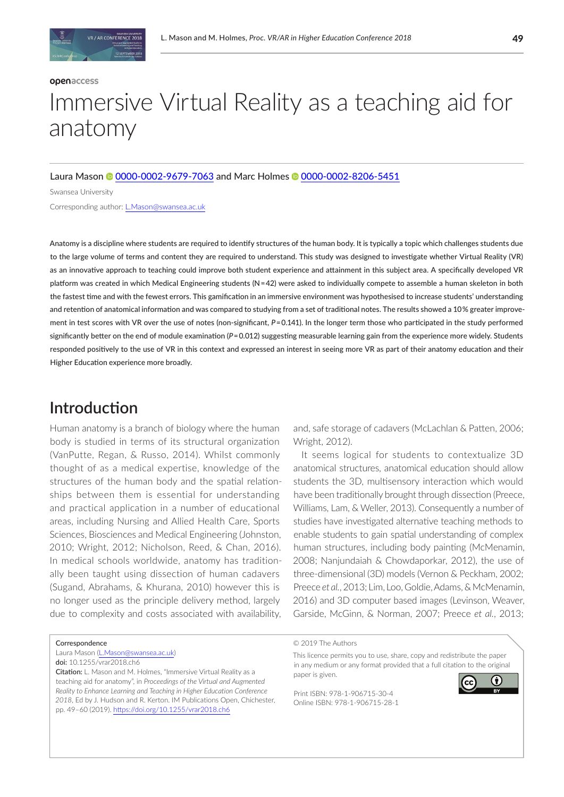# Immersive Virtual Reality as a teaching aid for anatomy

#### Laura Mason <sup>6</sup> [0000-0002-9679-7063](http://orcid.org/0000-0002-9679-7063) and Marc Holmes <sup>6</sup> [0000-0002-8206-5451](https://orcid.org/0000-0002-8206-5451)

Swansea University

Corresponding author: [L.Mason@swansea.ac.uk](mailto:L.Mason%40swansea.ac.uk?subject=)

Anatomy is a discipline where students are required to identify structures of the human body. It is typically a topic which challenges students due to the large volume of terms and content they are required to understand. This study was designed to investigate whether Virtual Reality (VR) as an innovative approach to teaching could improve both student experience and attainment in this subject area. A specifically developed VR platform was created in which Medical Engineering students (N = 42) were asked to individually compete to assemble a human skeleton in both the fastest time and with the fewest errors. This gamification in an immersive environment was hypothesised to increase students' understanding and retention of anatomical information and was compared to studying from a set of traditional notes. The results showed a 10 % greater improvement in test scores with VR over the use of notes (non-significant,  $P=0.141$ ). In the longer term those who participated in the study performed significantly better on the end of module examination (P=0.012) suggesting measurable learning gain from the experience more widely. Students responded positively to the use of VR in this context and expressed an interest in seeing more VR as part of their anatomy education and their Higher Education experience more broadly.

## **Introduction**

Human anatomy is a branch of biology where the human body is studied in terms of its structural organization (VanPutte, Regan, & Russo, 2014). Whilst commonly thought of as a medical expertise, knowledge of the structures of the human body and the spatial relationships between them is essential for understanding and practical application in a number of educational areas, including Nursing and Allied Health Care, Sports Sciences, Biosciences and Medical Engineering (Johnston, 2010; Wright, 2012; Nicholson, Reed, & Chan, 2016). In medical schools worldwide, anatomy has traditionally been taught using dissection of human cadavers (Sugand, Abrahams, & Khurana, 2010) however this is no longer used as the principle delivery method, largely due to complexity and costs associated with availability, and, safe storage of cadavers (McLachlan & Patten, 2006; Wright, 2012).

It seems logical for students to contextualize 3D anatomical structures, anatomical education should allow students the 3D, multisensory interaction which would have been traditionally brought through dissection (Preece, Williams, Lam, & Weller, 2013). Consequently a number of studies have investigated alternative teaching methods to enable students to gain spatial understanding of complex human structures, including body painting (McMenamin, 2008; Nanjundaiah & Chowdaporkar, 2012), the use of three-dimensional (3D) models (Vernon & Peckham, 2002; Preece *et al.*, 2013; Lim, Loo, Goldie, Adams, & McMenamin, 2016) and 3D computer based images (Levinson, Weaver, Garside, McGinn, & Norman, 2007; Preece *et al.*, 2013;

**Correspondence** 

Laura Mason [\(L.Mason@swansea.ac.uk\)](mailto:L.Mason%40swansea.ac.uk?subject=) doi: 10.1255/vrar2018.ch6

Citation: L. Mason and M. Holmes, "Immersive Virtual Reality as a teaching aid for anatomy", in *Proceedings of the Virtual and Augmented Reality to Enhance Learning and Teaching in Higher Education Conference 2018*, Ed by J. Hudson and R. Kerton. IM Publications Open, Chichester, pp. 49–60 (2019). <https://doi.org/10.1255/vrar2018.ch6>

© 2019 The Authors

This licence permits you to use, share, copy and redistribute the paper in any medium or any format provided that a full citation to the original paper is given.

Print ISBN: 978-1-906715-30-4 Online ISBN: 978-1-906715-28-1

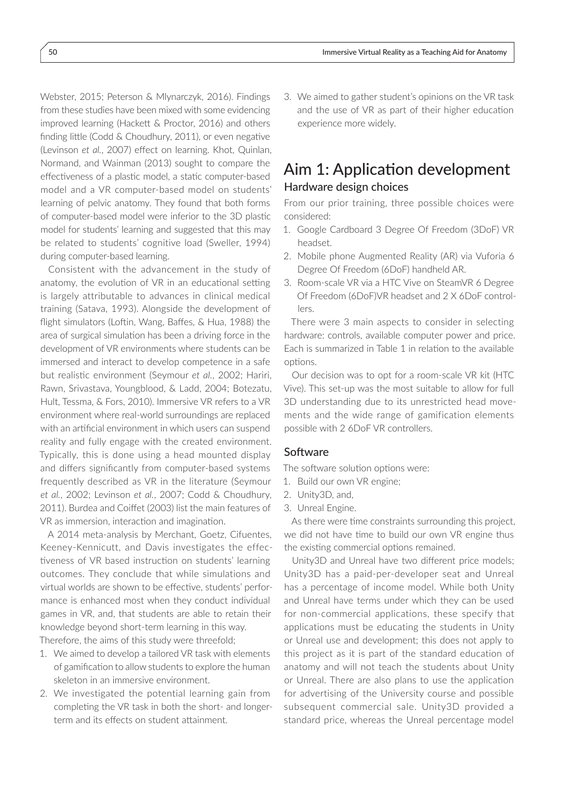Webster, 2015; Peterson & Mlynarczyk, 2016). Findings from these studies have been mixed with some evidencing improved learning (Hackett & Proctor, 2016) and others finding little (Codd & Choudhury, 2011), or even negative (Levinson *et al.*, 2007) effect on learning. Khot, Quinlan, Normand, and Wainman (2013) sought to compare the effectiveness of a plastic model, a static computer-based model and a VR computer-based model on students' learning of pelvic anatomy. They found that both forms of computer-based model were inferior to the 3D plastic model for students' learning and suggested that this may be related to students' cognitive load (Sweller, 1994) during computer-based learning.

Consistent with the advancement in the study of anatomy, the evolution of VR in an educational setting is largely attributable to advances in clinical medical training (Satava, 1993). Alongside the development of flight simulators (Loftin, Wang, Baffes, & Hua, 1988) the area of surgical simulation has been a driving force in the development of VR environments where students can be immersed and interact to develop competence in a safe but realistic environment (Seymour *et al.*, 2002; Hariri, Rawn, Srivastava, Youngblood, & Ladd, 2004; Botezatu, Hult, Tessma, & Fors, 2010). Immersive VR refers to a VR environment where real-world surroundings are replaced with an artificial environment in which users can suspend reality and fully engage with the created environment. Typically, this is done using a head mounted display and differs significantly from computer-based systems frequently described as VR in the literature (Seymour *et al.*, 2002; Levinson *et al.*, 2007; Codd & Choudhury, 2011). Burdea and Coiffet (2003) list the main features of VR as immersion, interaction and imagination.

A 2014 meta-analysis by Merchant, Goetz, Cifuentes, Keeney-Kennicutt, and Davis investigates the effectiveness of VR based instruction on students' learning outcomes. They conclude that while simulations and virtual worlds are shown to be effective, students' performance is enhanced most when they conduct individual games in VR, and, that students are able to retain their knowledge beyond short-term learning in this way. Therefore, the aims of this study were threefold;

- 1. We aimed to develop a tailored VR task with elements of gamification to allow students to explore the human skeleton in an immersive environment.
- 2. We investigated the potential learning gain from completing the VR task in both the short- and longerterm and its effects on student attainment.

3. We aimed to gather student's opinions on the VR task and the use of VR as part of their higher education experience more widely.

## Aim 1: Application development Hardware design choices

From our prior training, three possible choices were considered:

- 1. Google Cardboard 3 Degree Of Freedom (3DoF) VR headset.
- 2. Mobile phone Augmented Reality (AR) via Vuforia 6 Degree Of Freedom (6DoF) handheld AR.
- 3. Room-scale VR via a HTC Vive on SteamVR 6 Degree Of Freedom (6DoF)VR headset and 2 X 6DoF controllers.

There were 3 main aspects to consider in selecting hardware: controls, available computer power and price. Each is summarized in Table 1 in relation to the available options.

Our decision was to opt for a room-scale VR kit (HTC Vive). This set-up was the most suitable to allow for full 3D understanding due to its unrestricted head movements and the wide range of gamification elements possible with 2 6DoF VR controllers.

#### Software

The software solution options were:

- 1. Build our own VR engine;
- 2. Unity3D, and,
- 3. Unreal Engine.

As there were time constraints surrounding this project, we did not have time to build our own VR engine thus the existing commercial options remained.

Unity3D and Unreal have two different price models; Unity3D has a paid-per-developer seat and Unreal has a percentage of income model. While both Unity and Unreal have terms under which they can be used for non-commercial applications, these specify that applications must be educating the students in Unity or Unreal use and development; this does not apply to this project as it is part of the standard education of anatomy and will not teach the students about Unity or Unreal. There are also plans to use the application for advertising of the University course and possible subsequent commercial sale. Unity3D provided a standard price, whereas the Unreal percentage model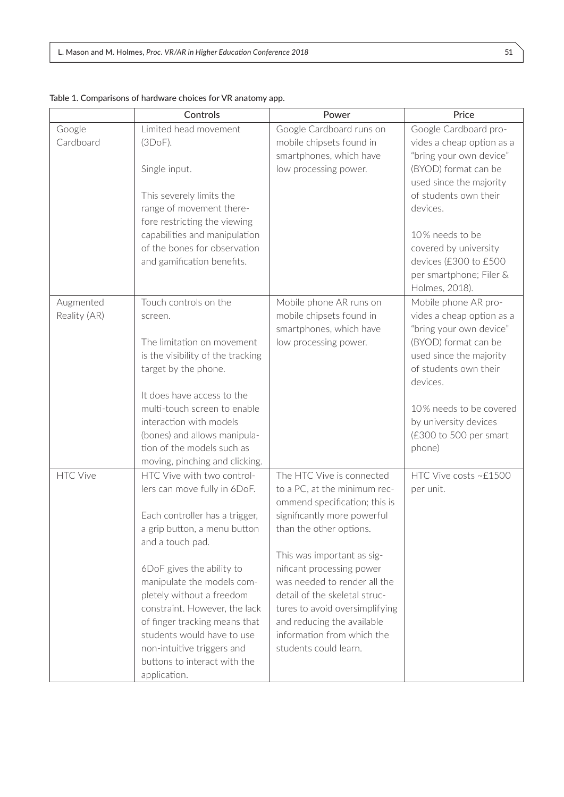|                 | Controls                                                                                                                                                                                                                                                                                                                                                                                                                                                                                                                                                                                                                                                                     | Power                                                                                                                                                                                                                                                                                                                                                                                                                                                        | Price                                                                                                                                                                                     |
|-----------------|------------------------------------------------------------------------------------------------------------------------------------------------------------------------------------------------------------------------------------------------------------------------------------------------------------------------------------------------------------------------------------------------------------------------------------------------------------------------------------------------------------------------------------------------------------------------------------------------------------------------------------------------------------------------------|--------------------------------------------------------------------------------------------------------------------------------------------------------------------------------------------------------------------------------------------------------------------------------------------------------------------------------------------------------------------------------------------------------------------------------------------------------------|-------------------------------------------------------------------------------------------------------------------------------------------------------------------------------------------|
| Google          | Limited head movement                                                                                                                                                                                                                                                                                                                                                                                                                                                                                                                                                                                                                                                        | Google Cardboard runs on                                                                                                                                                                                                                                                                                                                                                                                                                                     | Google Cardboard pro-                                                                                                                                                                     |
| Cardboard       | (3DoF).                                                                                                                                                                                                                                                                                                                                                                                                                                                                                                                                                                                                                                                                      | mobile chipsets found in                                                                                                                                                                                                                                                                                                                                                                                                                                     | vides a cheap option as a                                                                                                                                                                 |
|                 |                                                                                                                                                                                                                                                                                                                                                                                                                                                                                                                                                                                                                                                                              | smartphones, which have                                                                                                                                                                                                                                                                                                                                                                                                                                      | "bring your own device"                                                                                                                                                                   |
|                 | Single input.                                                                                                                                                                                                                                                                                                                                                                                                                                                                                                                                                                                                                                                                | low processing power.                                                                                                                                                                                                                                                                                                                                                                                                                                        | (BYOD) format can be                                                                                                                                                                      |
|                 |                                                                                                                                                                                                                                                                                                                                                                                                                                                                                                                                                                                                                                                                              |                                                                                                                                                                                                                                                                                                                                                                                                                                                              | used since the majority                                                                                                                                                                   |
|                 | This severely limits the                                                                                                                                                                                                                                                                                                                                                                                                                                                                                                                                                                                                                                                     |                                                                                                                                                                                                                                                                                                                                                                                                                                                              | of students own their                                                                                                                                                                     |
|                 | range of movement there-                                                                                                                                                                                                                                                                                                                                                                                                                                                                                                                                                                                                                                                     |                                                                                                                                                                                                                                                                                                                                                                                                                                                              | devices.                                                                                                                                                                                  |
|                 | fore restricting the viewing                                                                                                                                                                                                                                                                                                                                                                                                                                                                                                                                                                                                                                                 |                                                                                                                                                                                                                                                                                                                                                                                                                                                              |                                                                                                                                                                                           |
|                 | capabilities and manipulation                                                                                                                                                                                                                                                                                                                                                                                                                                                                                                                                                                                                                                                |                                                                                                                                                                                                                                                                                                                                                                                                                                                              | 10% needs to be                                                                                                                                                                           |
|                 | of the bones for observation                                                                                                                                                                                                                                                                                                                                                                                                                                                                                                                                                                                                                                                 |                                                                                                                                                                                                                                                                                                                                                                                                                                                              | covered by university                                                                                                                                                                     |
|                 | and gamification benefits.                                                                                                                                                                                                                                                                                                                                                                                                                                                                                                                                                                                                                                                   |                                                                                                                                                                                                                                                                                                                                                                                                                                                              | devices (£300 to £500                                                                                                                                                                     |
|                 |                                                                                                                                                                                                                                                                                                                                                                                                                                                                                                                                                                                                                                                                              |                                                                                                                                                                                                                                                                                                                                                                                                                                                              | per smartphone; Filer &                                                                                                                                                                   |
|                 |                                                                                                                                                                                                                                                                                                                                                                                                                                                                                                                                                                                                                                                                              |                                                                                                                                                                                                                                                                                                                                                                                                                                                              | Holmes, 2018).                                                                                                                                                                            |
| Augmented       | Touch controls on the                                                                                                                                                                                                                                                                                                                                                                                                                                                                                                                                                                                                                                                        | Mobile phone AR runs on                                                                                                                                                                                                                                                                                                                                                                                                                                      | Mobile phone AR pro-                                                                                                                                                                      |
| Reality (AR)    | screen.                                                                                                                                                                                                                                                                                                                                                                                                                                                                                                                                                                                                                                                                      |                                                                                                                                                                                                                                                                                                                                                                                                                                                              | vides a cheap option as a                                                                                                                                                                 |
|                 |                                                                                                                                                                                                                                                                                                                                                                                                                                                                                                                                                                                                                                                                              | smartphones, which have                                                                                                                                                                                                                                                                                                                                                                                                                                      | "bring your own device"                                                                                                                                                                   |
|                 | The limitation on movement                                                                                                                                                                                                                                                                                                                                                                                                                                                                                                                                                                                                                                                   |                                                                                                                                                                                                                                                                                                                                                                                                                                                              |                                                                                                                                                                                           |
|                 |                                                                                                                                                                                                                                                                                                                                                                                                                                                                                                                                                                                                                                                                              |                                                                                                                                                                                                                                                                                                                                                                                                                                                              |                                                                                                                                                                                           |
|                 |                                                                                                                                                                                                                                                                                                                                                                                                                                                                                                                                                                                                                                                                              |                                                                                                                                                                                                                                                                                                                                                                                                                                                              | of students own their                                                                                                                                                                     |
|                 |                                                                                                                                                                                                                                                                                                                                                                                                                                                                                                                                                                                                                                                                              |                                                                                                                                                                                                                                                                                                                                                                                                                                                              |                                                                                                                                                                                           |
|                 |                                                                                                                                                                                                                                                                                                                                                                                                                                                                                                                                                                                                                                                                              |                                                                                                                                                                                                                                                                                                                                                                                                                                                              |                                                                                                                                                                                           |
|                 |                                                                                                                                                                                                                                                                                                                                                                                                                                                                                                                                                                                                                                                                              |                                                                                                                                                                                                                                                                                                                                                                                                                                                              |                                                                                                                                                                                           |
|                 |                                                                                                                                                                                                                                                                                                                                                                                                                                                                                                                                                                                                                                                                              |                                                                                                                                                                                                                                                                                                                                                                                                                                                              |                                                                                                                                                                                           |
|                 |                                                                                                                                                                                                                                                                                                                                                                                                                                                                                                                                                                                                                                                                              |                                                                                                                                                                                                                                                                                                                                                                                                                                                              |                                                                                                                                                                                           |
|                 |                                                                                                                                                                                                                                                                                                                                                                                                                                                                                                                                                                                                                                                                              |                                                                                                                                                                                                                                                                                                                                                                                                                                                              |                                                                                                                                                                                           |
|                 |                                                                                                                                                                                                                                                                                                                                                                                                                                                                                                                                                                                                                                                                              |                                                                                                                                                                                                                                                                                                                                                                                                                                                              |                                                                                                                                                                                           |
|                 |                                                                                                                                                                                                                                                                                                                                                                                                                                                                                                                                                                                                                                                                              |                                                                                                                                                                                                                                                                                                                                                                                                                                                              |                                                                                                                                                                                           |
|                 |                                                                                                                                                                                                                                                                                                                                                                                                                                                                                                                                                                                                                                                                              |                                                                                                                                                                                                                                                                                                                                                                                                                                                              |                                                                                                                                                                                           |
|                 |                                                                                                                                                                                                                                                                                                                                                                                                                                                                                                                                                                                                                                                                              |                                                                                                                                                                                                                                                                                                                                                                                                                                                              |                                                                                                                                                                                           |
|                 |                                                                                                                                                                                                                                                                                                                                                                                                                                                                                                                                                                                                                                                                              |                                                                                                                                                                                                                                                                                                                                                                                                                                                              |                                                                                                                                                                                           |
|                 |                                                                                                                                                                                                                                                                                                                                                                                                                                                                                                                                                                                                                                                                              |                                                                                                                                                                                                                                                                                                                                                                                                                                                              |                                                                                                                                                                                           |
|                 |                                                                                                                                                                                                                                                                                                                                                                                                                                                                                                                                                                                                                                                                              |                                                                                                                                                                                                                                                                                                                                                                                                                                                              |                                                                                                                                                                                           |
|                 |                                                                                                                                                                                                                                                                                                                                                                                                                                                                                                                                                                                                                                                                              |                                                                                                                                                                                                                                                                                                                                                                                                                                                              |                                                                                                                                                                                           |
|                 |                                                                                                                                                                                                                                                                                                                                                                                                                                                                                                                                                                                                                                                                              |                                                                                                                                                                                                                                                                                                                                                                                                                                                              |                                                                                                                                                                                           |
|                 |                                                                                                                                                                                                                                                                                                                                                                                                                                                                                                                                                                                                                                                                              |                                                                                                                                                                                                                                                                                                                                                                                                                                                              |                                                                                                                                                                                           |
|                 |                                                                                                                                                                                                                                                                                                                                                                                                                                                                                                                                                                                                                                                                              |                                                                                                                                                                                                                                                                                                                                                                                                                                                              |                                                                                                                                                                                           |
|                 |                                                                                                                                                                                                                                                                                                                                                                                                                                                                                                                                                                                                                                                                              |                                                                                                                                                                                                                                                                                                                                                                                                                                                              |                                                                                                                                                                                           |
|                 |                                                                                                                                                                                                                                                                                                                                                                                                                                                                                                                                                                                                                                                                              |                                                                                                                                                                                                                                                                                                                                                                                                                                                              |                                                                                                                                                                                           |
|                 |                                                                                                                                                                                                                                                                                                                                                                                                                                                                                                                                                                                                                                                                              |                                                                                                                                                                                                                                                                                                                                                                                                                                                              |                                                                                                                                                                                           |
|                 |                                                                                                                                                                                                                                                                                                                                                                                                                                                                                                                                                                                                                                                                              |                                                                                                                                                                                                                                                                                                                                                                                                                                                              |                                                                                                                                                                                           |
|                 |                                                                                                                                                                                                                                                                                                                                                                                                                                                                                                                                                                                                                                                                              |                                                                                                                                                                                                                                                                                                                                                                                                                                                              |                                                                                                                                                                                           |
| <b>HTC Vive</b> | is the visibility of the tracking<br>target by the phone.<br>It does have access to the<br>multi-touch screen to enable<br>interaction with models<br>(bones) and allows manipula-<br>tion of the models such as<br>moving, pinching and clicking.<br>HTC Vive with two control-<br>lers can move fully in 6DoF.<br>Each controller has a trigger,<br>a grip button, a menu button<br>and a touch pad.<br>6DoF gives the ability to<br>manipulate the models com-<br>pletely without a freedom<br>constraint. However, the lack<br>of finger tracking means that<br>students would have to use<br>non-intuitive triggers and<br>buttons to interact with the<br>application. | mobile chipsets found in<br>low processing power.<br>The HTC Vive is connected<br>to a PC, at the minimum rec-<br>ommend specification; this is<br>significantly more powerful<br>than the other options.<br>This was important as sig-<br>nificant processing power<br>was needed to render all the<br>detail of the skeletal struc-<br>tures to avoid oversimplifying<br>and reducing the available<br>information from which the<br>students could learn. | (BYOD) format can be<br>used since the majority<br>devices.<br>10% needs to be covered<br>by university devices<br>(£300 to 500 per smart<br>phone)<br>HTC Vive costs ~£1500<br>per unit. |

| Table 1. Comparisons of hardware choices for VR anatomy app. |  |  |
|--------------------------------------------------------------|--|--|
|                                                              |  |  |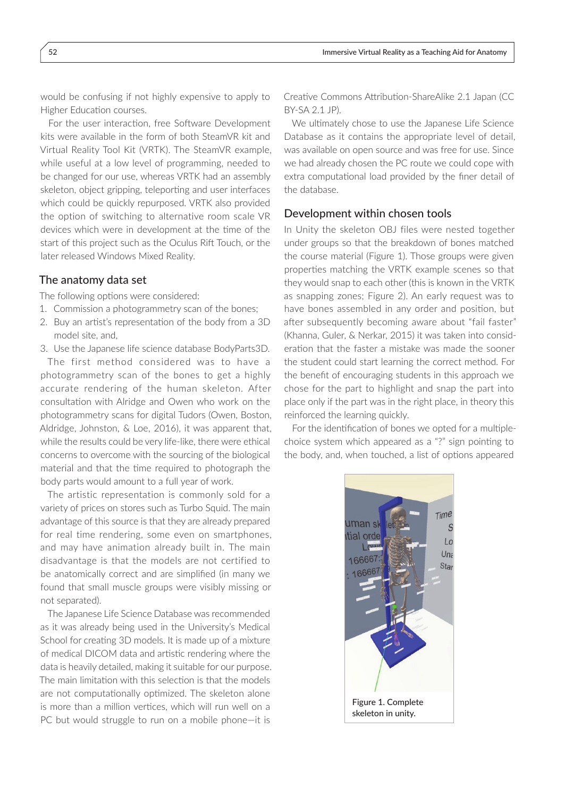would be confusing if not highly expensive to apply to Higher Education courses.

For the user interaction, free Software Development kits were available in the form of both SteamVR kit and Virtual Reality Tool Kit (VRTK). The SteamVR example, while useful at a low level of programming, needed to be changed for our use, whereas VRTK had an assembly skeleton, object gripping, teleporting and user interfaces which could be quickly repurposed. VRTK also provided the option of switching to alternative room scale VR devices which were in development at the time of the start of this project such as the Oculus Rift Touch, or the later released Windows Mixed Reality.

#### The anatomy data set

The following options were considered:

- 1. Commission a photogrammetry scan of the bones;
- 2. Buy an artist's representation of the body from a 3D model site, and,
- 3. Use the Japanese life science database BodyParts3D. The first method considered was to have a photogrammetry scan of the bones to get a highly accurate rendering of the human skeleton. After consultation with Alridge and Owen who work on the photogrammetry scans for digital Tudors (Owen, Boston, Aldridge, Johnston, & Loe, 2016), it was apparent that, while the results could be very life-like, there were ethical concerns to overcome with the sourcing of the biological

material and that the time required to photograph the body parts would amount to a full year of work. The artistic representation is commonly sold for a variety of prices on stores such as Turbo Squid. The main advantage of this source is that they are already prepared for real time rendering, some even on smartphones,

and may have animation already built in. The main disadvantage is that the models are not certified to be anatomically correct and are simplified (in many we found that small muscle groups were visibly missing or not separated).

The Japanese Life Science Database was recommended as it was already being used in the University's Medical School for creating 3D models. It is made up of a mixture of medical DICOM data and artistic rendering where the data is heavily detailed, making it suitable for our purpose. The main limitation with this selection is that the models are not computationally optimized. The skeleton alone is more than a million vertices, which will run well on a PC but would struggle to run on a mobile phone—it is

Creative Commons Attribution-ShareAlike 2.1 Japan (CC BY-SA 2.1 JP).

We ultimately chose to use the Japanese Life Science Database as it contains the appropriate level of detail, was available on open source and was free for use. Since we had already chosen the PC route we could cope with extra computational load provided by the finer detail of the database.

#### Development within chosen tools

In Unity the skeleton OBJ files were nested together under groups so that the breakdown of bones matched the course material (Figure 1). Those groups were given properties matching the VRTK example scenes so that they would snap to each other (this is known in the VRTK as snapping zones; Figure 2). An early request was to have bones assembled in any order and position, but after subsequently becoming aware about "fail faster" (Khanna, Guler, & Nerkar, 2015) it was taken into consideration that the faster a mistake was made the sooner the student could start learning the correct method. For the benefit of encouraging students in this approach we chose for the part to highlight and snap the part into place only if the part was in the right place, in theory this reinforced the learning quickly.

For the identification of bones we opted for a multiplechoice system which appeared as a "?" sign pointing to the body, and, when touched, a list of options appeared

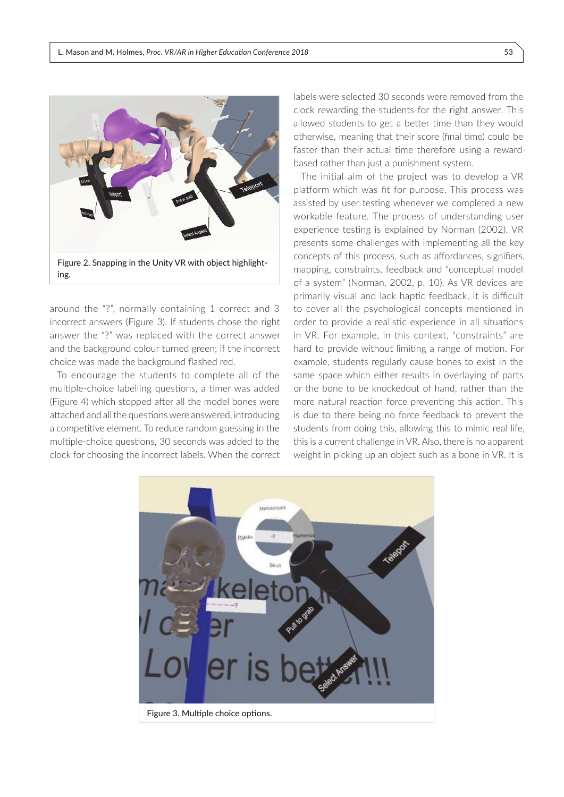

around the "?", normally containing 1 correct and 3 incorrect answers (Figure 3). If students chose the right answer the "?" was replaced with the correct answer and the background colour turned green; if the incorrect choice was made the background flashed red.

To encourage the students to complete all of the multiple-choice labelling questions, a timer was added (Figure 4) which stopped after all the model bones were attached and all the questions were answered, introducing a competitive element. To reduce random guessing in the multiple-choice questions, 30 seconds was added to the clock for choosing the incorrect labels. When the correct labels were selected 30 seconds were removed from the clock rewarding the students for the right answer. This allowed students to get a better time than they would otherwise, meaning that their score (final time) could be faster than their actual time therefore using a rewardbased rather than just a punishment system.

The initial aim of the project was to develop a VR platform which was fit for purpose. This process was assisted by user testing whenever we completed a new workable feature. The process of understanding user experience testing is explained by Norman (2002). VR presents some challenges with implementing all the key concepts of this process, such as affordances, signifiers, mapping, constraints, feedback and "conceptual model of a system" (Norman, 2002, p. 10). As VR devices are primarily visual and lack haptic feedback, it is difficult to cover all the psychological concepts mentioned in order to provide a realistic experience in all situations in VR. For example, in this context, "constraints" are hard to provide without limiting a range of motion. For example, students regularly cause bones to exist in the same space which either results in overlaying of parts or the bone to be knockedout of hand, rather than the more natural reaction force preventing this action. This is due to there being no force feedback to prevent the students from doing this, allowing this to mimic real life, this is a current challenge in VR. Also, there is no apparent weight in picking up an object such as a bone in VR. It is

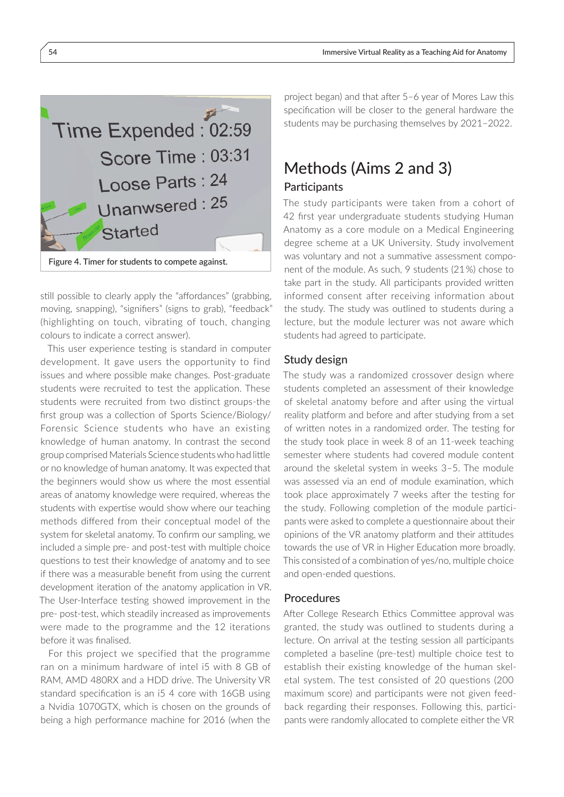

still possible to clearly apply the "affordances" (grabbing, moving, snapping), "signifiers" (signs to grab), "feedback" (highlighting on touch, vibrating of touch, changing colours to indicate a correct answer).

This user experience testing is standard in computer development. It gave users the opportunity to find issues and where possible make changes. Post-graduate students were recruited to test the application. These students were recruited from two distinct groups-the first group was a collection of Sports Science/Biology/ Forensic Science students who have an existing knowledge of human anatomy. In contrast the second group comprised Materials Science students who had little or no knowledge of human anatomy. It was expected that the beginners would show us where the most essential areas of anatomy knowledge were required, whereas the students with expertise would show where our teaching methods differed from their conceptual model of the system for skeletal anatomy. To confirm our sampling, we included a simple pre- and post-test with multiple choice questions to test their knowledge of anatomy and to see if there was a measurable benefit from using the current development iteration of the anatomy application in VR. The User-Interface testing showed improvement in the pre- post-test, which steadily increased as improvements were made to the programme and the 12 iterations before it was finalised.

For this project we specified that the programme ran on a minimum hardware of intel i5 with 8 GB of RAM, AMD 480RX and a HDD drive. The University VR standard specification is an i5 4 core with 16GB using a Nvidia 1070GTX, which is chosen on the grounds of being a high performance machine for 2016 (when the

project began) and that after 5–6 year of Mores Law this specification will be closer to the general hardware the students may be purchasing themselves by 2021–2022.

# Methods (Aims 2 and 3) **Participants**

The study participants were taken from a cohort of 42 first year undergraduate students studying Human Anatomy as a core module on a Medical Engineering degree scheme at a UK University. Study involvement was voluntary and not a summative assessment component of the module. As such, 9 students (21 %) chose to take part in the study. All participants provided written informed consent after receiving information about the study. The study was outlined to students during a lecture, but the module lecturer was not aware which students had agreed to participate.

#### Study design

The study was a randomized crossover design where students completed an assessment of their knowledge of skeletal anatomy before and after using the virtual reality platform and before and after studying from a set of written notes in a randomized order. The testing for the study took place in week 8 of an 11-week teaching semester where students had covered module content around the skeletal system in weeks 3–5. The module was assessed via an end of module examination, which took place approximately 7 weeks after the testing for the study. Following completion of the module participants were asked to complete a questionnaire about their opinions of the VR anatomy platform and their attitudes towards the use of VR in Higher Education more broadly. This consisted of a combination of yes/no, multiple choice and open-ended questions.

#### Procedures

After College Research Ethics Committee approval was granted, the study was outlined to students during a lecture. On arrival at the testing session all participants completed a baseline (pre-test) multiple choice test to establish their existing knowledge of the human skeletal system. The test consisted of 20 questions (200 maximum score) and participants were not given feedback regarding their responses. Following this, participants were randomly allocated to complete either the VR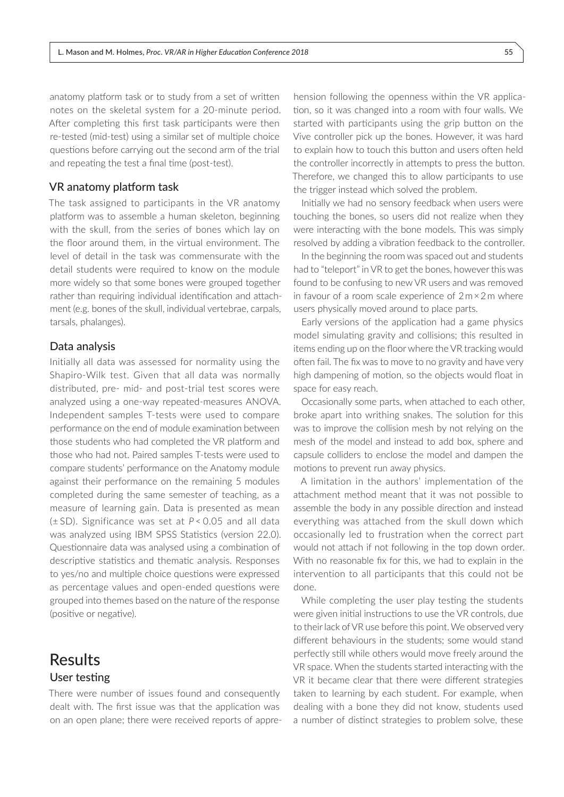anatomy platform task or to study from a set of written notes on the skeletal system for a 20-minute period. After completing this first task participants were then re-tested (mid-test) using a similar set of multiple choice questions before carrying out the second arm of the trial and repeating the test a final time (post-test).

#### VR anatomy platform task

The task assigned to participants in the VR anatomy platform was to assemble a human skeleton, beginning with the skull, from the series of bones which lay on the floor around them, in the virtual environment. The level of detail in the task was commensurate with the detail students were required to know on the module more widely so that some bones were grouped together rather than requiring individual identification and attachment (e.g. bones of the skull, individual vertebrae, carpals, tarsals, phalanges).

#### Data analysis

Initially all data was assessed for normality using the Shapiro-Wilk test. Given that all data was normally distributed, pre- mid- and post-trial test scores were analyzed using a one-way repeated-measures ANOVA. Independent samples T-tests were used to compare performance on the end of module examination between those students who had completed the VR platform and those who had not. Paired samples T-tests were used to compare students' performance on the Anatomy module against their performance on the remaining 5 modules completed during the same semester of teaching, as a measure of learning gain. Data is presented as mean (± SD). Significance was set at *P*< 0.05 and all data was analyzed using IBM SPSS Statistics (version 22.0). Questionnaire data was analysed using a combination of descriptive statistics and thematic analysis. Responses to yes/no and multiple choice questions were expressed as percentage values and open-ended questions were grouped into themes based on the nature of the response (positive or negative).

### Results User testing

There were number of issues found and consequently dealt with. The first issue was that the application was on an open plane; there were received reports of appre-

hension following the openness within the VR application, so it was changed into a room with four walls. We started with participants using the grip button on the Vive controller pick up the bones. However, it was hard to explain how to touch this button and users often held the controller incorrectly in attempts to press the button. Therefore, we changed this to allow participants to use the trigger instead which solved the problem.

Initially we had no sensory feedback when users were touching the bones, so users did not realize when they were interacting with the bone models. This was simply resolved by adding a vibration feedback to the controller.

In the beginning the room was spaced out and students had to "teleport" in VR to get the bones, however this was found to be confusing to new VR users and was removed in favour of a room scale experience of 2 m × 2 m where users physically moved around to place parts.

Early versions of the application had a game physics model simulating gravity and collisions; this resulted in items ending up on the floor where the VR tracking would often fail. The fix was to move to no gravity and have very high dampening of motion, so the objects would float in space for easy reach.

Occasionally some parts, when attached to each other, broke apart into writhing snakes. The solution for this was to improve the collision mesh by not relying on the mesh of the model and instead to add box, sphere and capsule colliders to enclose the model and dampen the motions to prevent run away physics.

A limitation in the authors' implementation of the attachment method meant that it was not possible to assemble the body in any possible direction and instead everything was attached from the skull down which occasionally led to frustration when the correct part would not attach if not following in the top down order. With no reasonable fix for this, we had to explain in the intervention to all participants that this could not be done.

While completing the user play testing the students were given initial instructions to use the VR controls, due to their lack of VR use before this point. We observed very different behaviours in the students; some would stand perfectly still while others would move freely around the VR space. When the students started interacting with the VR it became clear that there were different strategies taken to learning by each student. For example, when dealing with a bone they did not know, students used a number of distinct strategies to problem solve, these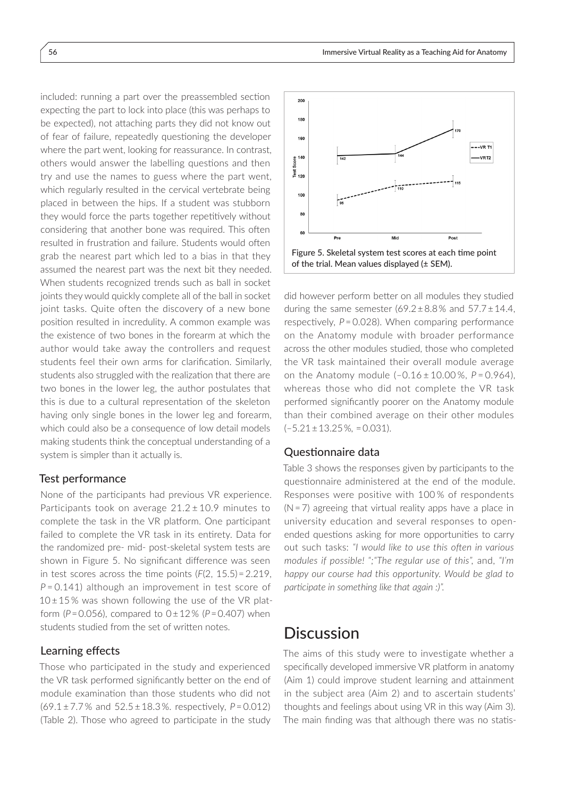included: running a part over the preassembled section expecting the part to lock into place (this was perhaps to be expected), not attaching parts they did not know out of fear of failure, repeatedly questioning the developer where the part went, looking for reassurance. In contrast, others would answer the labelling questions and then try and use the names to guess where the part went, which regularly resulted in the cervical vertebrate being placed in between the hips. If a student was stubborn they would force the parts together repetitively without considering that another bone was required. This often resulted in frustration and failure. Students would often grab the nearest part which led to a bias in that they assumed the nearest part was the next bit they needed. When students recognized trends such as ball in socket joints they would quickly complete all of the ball in socket joint tasks. Quite often the discovery of a new bone position resulted in incredulity. A common example was the existence of two bones in the forearm at which the author would take away the controllers and request students feel their own arms for clarification. Similarly, students also struggled with the realization that there are two bones in the lower leg, the author postulates that this is due to a cultural representation of the skeleton having only single bones in the lower leg and forearm, which could also be a consequence of low detail models making students think the conceptual understanding of a system is simpler than it actually is.

#### Test performance

None of the participants had previous VR experience. Participants took on average  $21.2 \pm 10.9$  minutes to complete the task in the VR platform. One participant failed to complete the VR task in its entirety. Data for the randomized pre- mid- post-skeletal system tests are shown in Figure 5. No significant difference was seen in test scores across the time points (*F*(2, 15.5) = 2.219, *P* = 0.141) although an improvement in test score of  $10±15%$  was shown following the use of the VR platform (*P* = 0.056), compared to 0 ± 12 % (*P* = 0.407) when students studied from the set of written notes.

#### Learning effects

Those who participated in the study and experienced the VR task performed significantly better on the end of module examination than those students who did not (69.1 ± 7.7 % and 52.5 ± 18.3 %. respectively, *P* = 0.012) (Table 2). Those who agreed to participate in the study



did however perform better on all modules they studied during the same semester  $(69.2 \pm 8.8\%$  and  $57.7 \pm 14.4$ , respectively, *P* = 0.028). When comparing performance on the Anatomy module with broader performance across the other modules studied, those who completed the VR task maintained their overall module average on the Anatomy module (–0.16 ± 10.00 %, *P* = 0.964), whereas those who did not complete the VR task performed significantly poorer on the Anatomy module than their combined average on their other modules (–5.21 ± 13.25 %*,* = 0.031).

#### Questionnaire data

Table 3 shows the responses given by participants to the questionnaire administered at the end of the module. Responses were positive with 100 % of respondents  $(N=7)$  agreeing that virtual reality apps have a place in university education and several responses to openended questions asking for more opportunities to carry out such tasks: *"I would like to use this often in various modules if possible! ";"The regular use of this",* and, *"I'm happy our course had this opportunity. Would be glad to participate in something like that again :)".*

## **Discussion**

The aims of this study were to investigate whether a specifically developed immersive VR platform in anatomy (Aim 1) could improve student learning and attainment in the subject area (Aim 2) and to ascertain students' thoughts and feelings about using VR in this way (Aim 3). The main finding was that although there was no statis-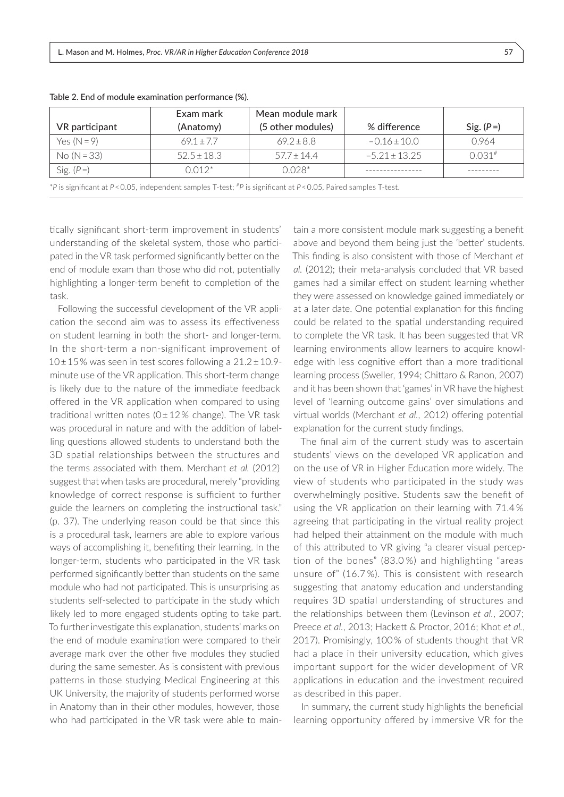|                | Exam mark       | Mean module mark  |                   |                      |
|----------------|-----------------|-------------------|-------------------|----------------------|
| VR participant | (Anatomy)       | (5 other modules) | % difference      | Sig. $(P=)$          |
| Yes $(N = 9)$  | $69.1 + 7.7$    | $69.2 \pm 8.8$    | $-0.16 \pm 10.0$  | 0.964                |
| $No (N = 33)$  | $52.5 \pm 18.3$ | $57.7 + 14.4$     | $-5.21 \pm 13.25$ | $0.031$ <sup>#</sup> |
| Sig. $(P=)$    | $0.012*$        | $0.028*$          |                   |                      |

Table 2. End of module examination performance (%).

\**P* is significant at *P* < 0.05, independent samples T-test; #*P* is significant at *P* < 0.05, Paired samples T-test.

tically significant short-term improvement in students' understanding of the skeletal system, those who participated in the VR task performed significantly better on the end of module exam than those who did not, potentially highlighting a longer-term benefit to completion of the task.

Following the successful development of the VR application the second aim was to assess its effectiveness on student learning in both the short- and longer-term. In the short-term a non-significant improvement of 10 ± 15 % was seen in test scores following a 21.2 ± 10.9 minute use of the VR application. This short-term change is likely due to the nature of the immediate feedback offered in the VR application when compared to using traditional written notes ( $0±12%$  change). The VR task was procedural in nature and with the addition of labelling questions allowed students to understand both the 3D spatial relationships between the structures and the terms associated with them. Merchant *et al.* (2012) suggest that when tasks are procedural, merely "providing knowledge of correct response is sufficient to further guide the learners on completing the instructional task." (p. 37). The underlying reason could be that since this is a procedural task, learners are able to explore various ways of accomplishing it, benefiting their learning. In the longer-term, students who participated in the VR task performed significantly better than students on the same module who had not participated. This is unsurprising as students self-selected to participate in the study which likely led to more engaged students opting to take part. To further investigate this explanation, students' marks on the end of module examination were compared to their average mark over the other five modules they studied during the same semester. As is consistent with previous patterns in those studying Medical Engineering at this UK University, the majority of students performed worse in Anatomy than in their other modules, however, those who had participated in the VR task were able to main-

tain a more consistent module mark suggesting a benefit above and beyond them being just the 'better' students. This finding is also consistent with those of Merchant *et al.* (2012); their meta-analysis concluded that VR based games had a similar effect on student learning whether they were assessed on knowledge gained immediately or at a later date. One potential explanation for this finding could be related to the spatial understanding required to complete the VR task. It has been suggested that VR learning environments allow learners to acquire knowledge with less cognitive effort than a more traditional learning process (Sweller, 1994; Chittaro & Ranon, 2007) and it has been shown that 'games' in VR have the highest level of 'learning outcome gains' over simulations and virtual worlds (Merchant *et al.*, 2012) offering potential explanation for the current study findings.

The final aim of the current study was to ascertain students' views on the developed VR application and on the use of VR in Higher Education more widely. The view of students who participated in the study was overwhelmingly positive. Students saw the benefit of using the VR application on their learning with 71.4 % agreeing that participating in the virtual reality project had helped their attainment on the module with much of this attributed to VR giving "a clearer visual perception of the bones" (83.0 %) and highlighting "areas unsure of" (16.7 %). This is consistent with research suggesting that anatomy education and understanding requires 3D spatial understanding of structures and the relationships between them (Levinson *et al.*, 2007; Preece *et al.*, 2013; Hackett & Proctor, 2016; Khot *et al.*, 2017). Promisingly, 100 % of students thought that VR had a place in their university education, which gives important support for the wider development of VR applications in education and the investment required as described in this paper.

In summary, the current study highlights the beneficial learning opportunity offered by immersive VR for the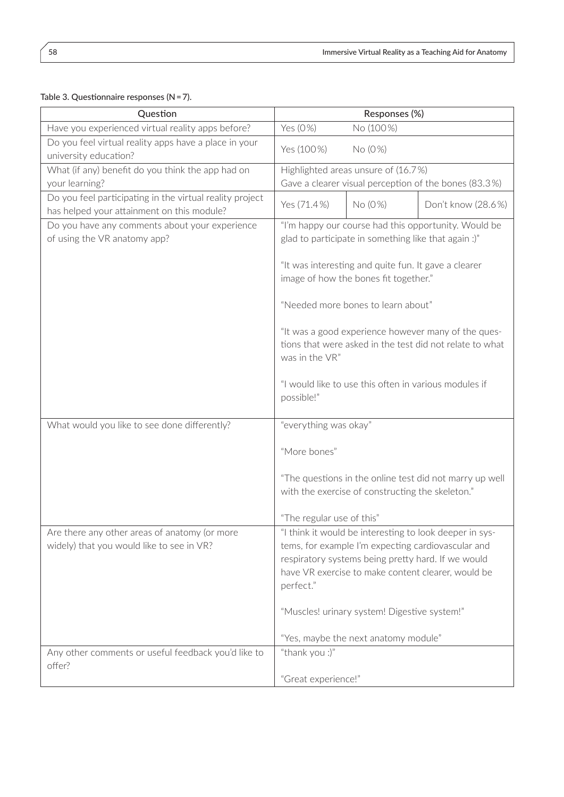| Table 3. Questionnaire responses ( $N = 7$ ). |  |
|-----------------------------------------------|--|
|-----------------------------------------------|--|

| Question                                                                                               | Responses (%)                                                                                                                                                                                                                          |                                              |                    |
|--------------------------------------------------------------------------------------------------------|----------------------------------------------------------------------------------------------------------------------------------------------------------------------------------------------------------------------------------------|----------------------------------------------|--------------------|
| Have you experienced virtual reality apps before?                                                      | Yes (0%)<br>No (100%)                                                                                                                                                                                                                  |                                              |                    |
| Do you feel virtual reality apps have a place in your<br>university education?                         | Yes (100%)<br>No (0%)                                                                                                                                                                                                                  |                                              |                    |
| What (if any) benefit do you think the app had on                                                      | Highlighted areas unsure of (16.7%)                                                                                                                                                                                                    |                                              |                    |
| your learning?                                                                                         | Gave a clearer visual perception of the bones (83.3%)                                                                                                                                                                                  |                                              |                    |
| Do you feel participating in the virtual reality project<br>has helped your attainment on this module? | Yes (71.4%)                                                                                                                                                                                                                            | No (0%)                                      | Don't know (28.6%) |
| Do you have any comments about your experience<br>of using the VR anatomy app?                         | "I'm happy our course had this opportunity. Would be<br>glad to participate in something like that again :)"                                                                                                                           |                                              |                    |
|                                                                                                        | "It was interesting and quite fun. It gave a clearer<br>image of how the bones fit together."                                                                                                                                          |                                              |                    |
|                                                                                                        | "Needed more bones to learn about"                                                                                                                                                                                                     |                                              |                    |
|                                                                                                        | "It was a good experience however many of the ques-<br>tions that were asked in the test did not relate to what<br>was in the VR"                                                                                                      |                                              |                    |
|                                                                                                        | "I would like to use this often in various modules if<br>possible!"                                                                                                                                                                    |                                              |                    |
| What would you like to see done differently?                                                           | "everything was okay"                                                                                                                                                                                                                  |                                              |                    |
|                                                                                                        | "More bones"                                                                                                                                                                                                                           |                                              |                    |
|                                                                                                        | "The questions in the online test did not marry up well<br>with the exercise of constructing the skeleton."                                                                                                                            |                                              |                    |
|                                                                                                        | "The regular use of this"                                                                                                                                                                                                              |                                              |                    |
| Are there any other areas of anatomy (or more<br>widely) that you would like to see in VR?             | "I think it would be interesting to look deeper in sys-<br>tems, for example I'm expecting cardiovascular and<br>respiratory systems being pretty hard. If we would<br>have VR exercise to make content clearer, would be<br>perfect." |                                              |                    |
|                                                                                                        |                                                                                                                                                                                                                                        | "Muscles! urinary system! Digestive system!" |                    |
|                                                                                                        |                                                                                                                                                                                                                                        | "Yes, maybe the next anatomy module"         |                    |
| "thank you :)"<br>Any other comments or useful feedback you'd like to<br>offer?                        |                                                                                                                                                                                                                                        |                                              |                    |
|                                                                                                        | "Great experience!"                                                                                                                                                                                                                    |                                              |                    |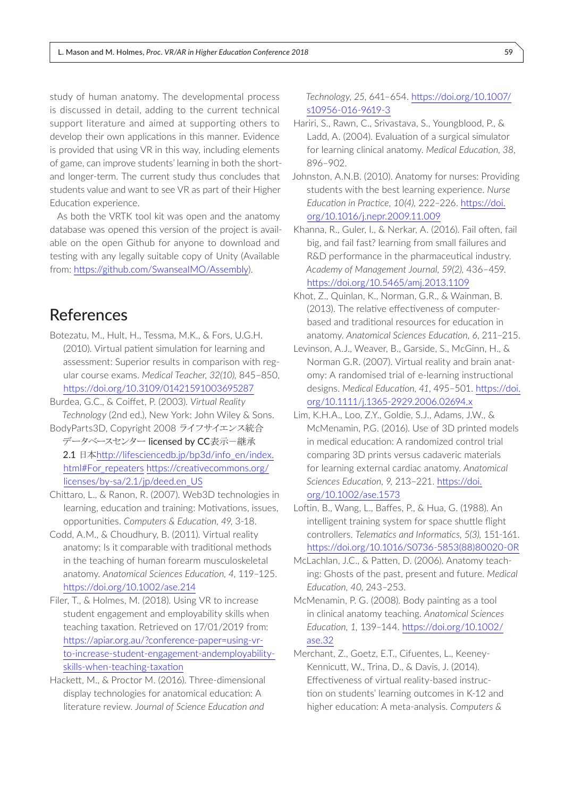study of human anatomy. The developmental process is discussed in detail, adding to the current technical support literature and aimed at supporting others to develop their own applications in this manner. Evidence is provided that using VR in this way, including elements of game, can improve students' learning in both the shortand longer-term. The current study thus concludes that students value and want to see VR as part of their Higher Education experience.

As both the VRTK tool kit was open and the anatomy database was opened this version of the project is available on the open Github for anyone to download and testing with any legally suitable copy of Unity (Available from:<https://github.com/SwanseaIMO/Assembly>).

# References

- Botezatu, M., Hult, H., Tessma, M.K., & Fors, U.G.H. (2010). Virtual patient simulation for learning and assessment: Superior results in comparison with regular course exams. *Medical Teacher, 32(10),* 845–850, <https://doi.org/10.3109/01421591003695287>
- Burdea, G.C., & Coiffet, P. (2003). *Virtual Reality Technology* (2nd ed.), New York: John Wiley & Sons.
- BodyParts3D, Copyright 2008 ライフサイエンス統合 データベースセンター licensed by CC表示一継承 2.1 日本[http://lifesciencedb.jp/bp3d/info\\_en/index.](http://lifesciencedb.jp/bp3d/info_en/index.html#For_repeaters) [html#For\\_repeaters](http://lifesciencedb.jp/bp3d/info_en/index.html#For_repeaters) [https://creativecommons.org/](https://creativecommons.org/licenses/by-sa/2.1/jp/deed.en_US) [licenses/by-sa/2.1/jp/deed.en\\_US](https://creativecommons.org/licenses/by-sa/2.1/jp/deed.en_US)
- Chittaro, L., & Ranon, R. (2007). Web3D technologies in learning, education and training: Motivations, issues, opportunities. *Computers & Education, 49*, 3-18.
- Codd, A.M., & Choudhury, B. (2011). Virtual reality anatomy: Is it comparable with traditional methods in the teaching of human forearm musculoskeletal anatomy. *Anatomical Sciences Education, 4*, 119–125. <https://doi.org/10.1002/ase.214>
- Filer, T., & Holmes, M. (2018). Using VR to increase student engagement and employability skills when teaching taxation. Retrieved on 17/01/2019 from: [https://apiar.org.au/?conference-paper=using-vr](https://apiar.org.au/?conference-paper=using-vr-to-increase-student-engagement-andemployability-skills-when-teaching-taxation)[to-increase-student-engagement-andemployability](https://apiar.org.au/?conference-paper=using-vr-to-increase-student-engagement-andemployability-skills-when-teaching-taxation)[skills-when-teaching-taxation](https://apiar.org.au/?conference-paper=using-vr-to-increase-student-engagement-andemployability-skills-when-teaching-taxation)
- Hackett, M., & Proctor M. (2016). Three-dimensional display technologies for anatomical education: A literature review. *Journal of Science Education and*

#### *Technology*, *25*, 641–654. [https://doi.org/10.1007/](https://doi.org/10.1007/s10956-016-9619-3) [s10956-016-9619-3](https://doi.org/10.1007/s10956-016-9619-3)

- Hariri, S., Rawn, C., Srivastava, S., Youngblood, P., & Ladd, A. (2004). Evaluation of a surgical simulator for learning clinical anatomy. *Medical Education*, *38*, 896–902.
- Johnston, A.N.B. (2010). Anatomy for nurses: Providing students with the best learning experience. *Nurse Education in Practice, 10(4),* 222–226. [https://doi.](https://doi.org/10.1016/j.nepr.2009.11.009) [org/10.1016/j.nepr.2009.11.009](https://doi.org/10.1016/j.nepr.2009.11.009)
- Khanna, R., Guler, I., & Nerkar, A. (2016). Fail often, fail big, and fail fast? learning from small failures and R&D performance in the pharmaceutical industry. *Academy of Management Journal, 59(2),* 436–459. <https://doi.org/10.5465/amj.2013.1109>
- Khot, Z., Quinlan, K., Norman, G.R., & Wainman, B. (2013). The relative effectiveness of computerbased and traditional resources for education in anatomy. *Anatomical Sciences Education, 6*, 211–215.
- Levinson, A.J., Weaver, B., Garside, S., McGinn, H., & Norman G.R. (2007). Virtual reality and brain anatomy: A randomised trial of e‐learning instructional designs. *Medical Education*, *41*, 495–501. [https://doi.](https://doi.org/10.1111/j.1365-2929.2006.02694.x) [org/10.1111/j.1365-2929.2006.02694.x](https://doi.org/10.1111/j.1365-2929.2006.02694.x)
- Lim, K.H.A., Loo, Z.Y., Goldie, S.J., Adams, J.W., & McMenamin, P.G. (2016). Use of 3D printed models in medical education: A randomized control trial comparing 3D prints versus cadaveric materials for learning external cardiac anatomy. *Anatomical Sciences Education, 9,* 213–221. [https://doi.](https://doi.org/10.1002/ase.1573) [org/10.1002/ase.1573](https://doi.org/10.1002/ase.1573)
- Loftin, B., Wang, L., Baffes, P., & Hua, G. (1988). An intelligent training system for space shuttle flight controllers. *Telematics and Informatics, 5(3),* 151-161. [https://doi.org/10.1016/S0736-5853\(88\)80020-0R](https://doi.org/10.1016/S0736-5853(88)80020-0R)
- McLachlan, J.C., & Patten, D. (2006). Anatomy teaching: Ghosts of the past, present and future*. Medical Education, 40*, 243–253.
- McMenamin, P. G. (2008). Body painting as a tool in clinical anatomy teaching. *Anatomical Sciences Education, 1,* 139–144. [https://doi.org/10.1002/](https://doi.org/10.1002/ase.32) [ase.32](https://doi.org/10.1002/ase.32)
- Merchant, Z., Goetz, E.T., Cifuentes, L., Keeney-Kennicutt, W., Trina, D., & Davis, J. (2014). Effectiveness of virtual reality-based instruction on students' learning outcomes in K-12 and higher education: A meta-analysis. *Computers &*